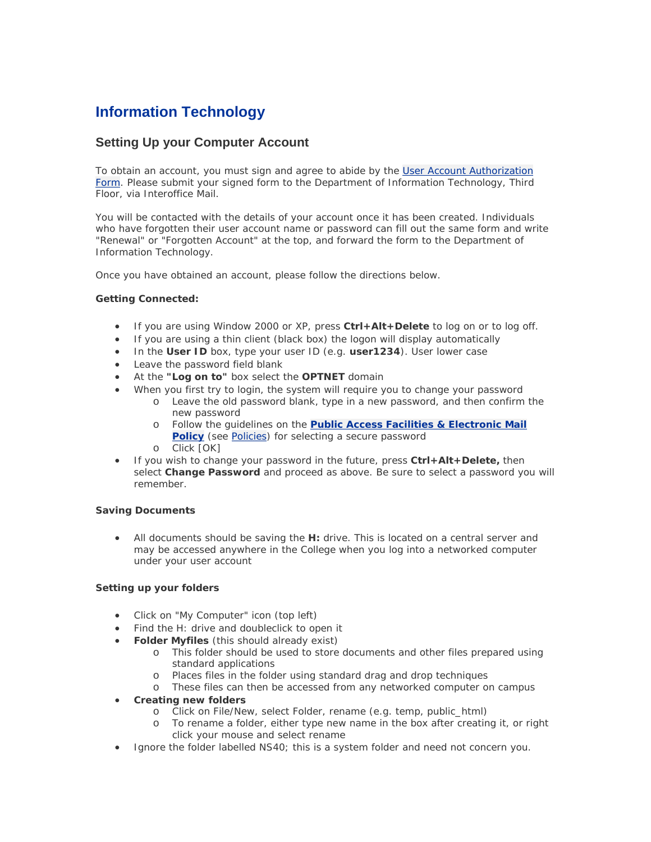# **Information Technology**

## **Setting Up your Computer Account**

To obtain an account, you must sign and agree to abide by the [User Account Authorization](http://www.sunyopt.edu/IT/User_Account_Authorization.pdf)  [Form](http://www.sunyopt.edu/IT/User_Account_Authorization.pdf). Please submit your signed form to the Department of Information Technology, Third Floor, via Interoffice Mail.

You will be contacted with the details of your account once it has been created. Individuals who have forgotten their user account name or password can fill out the same form and write "Renewal" or "Forgotten Account" at the top, and forward the form to the Department of Information Technology.

Once you have obtained an account, please follow the directions below.

#### **Getting Connected:**

- If you are using Window 2000 or XP, press **Ctrl+Alt+Delete** to log on or to log off.
- If you are using a thin client (black box) the logon will display automatically
- In the **User ID** box, type your user ID (e.g. **user1234**). User lower case
- Leave the password field blank
- At the **"Log on to"** box select the **OPTNET** domain
- When you first try to login, the system will require you to change your password
	- o Leave the old password blank, type in a new password, and then confirm the new password
	- o Follow the guidelines on the **[Public Access Facilities & Electronic Mail](http://www.sunyopt.edu/IT/usepub02.shtml)  [Policy](http://www.sunyopt.edu/IT/usepub02.shtml)** (see [Policies\)](http://www.sunyopt.edu/IT/policies.shtml) for selecting a secure password
	- o Click [OK]
- If you wish to change your password in the future, press **Ctrl+Alt+Delete,** then select **Change Password** and proceed as above. Be sure to select a password you will remember.

#### **Saving Documents**

• All documents should be saving the **H:** drive. This is located on a central server and may be accessed anywhere in the College when you log into a networked computer under your user account

#### **Setting up your folders**

- Click on "My Computer" icon (top left)
- Find the H: drive and doubleclick to open it
- **Folder Myfiles** (this should already exist)
	- o This folder should be used to store documents and other files prepared using standard applications
	- o Places files in the folder using standard drag and drop techniques
	- o These files can then be accessed from any networked computer on campus
- **Creating new folders**
	- o Click on File/New, select Folder, rename (e.g. temp, public\_html)
	- o To rename a folder, either type new name in the box after creating it, or right click your mouse and select rename
- Ignore the folder labelled NS40; this is a system folder and need not concern you.